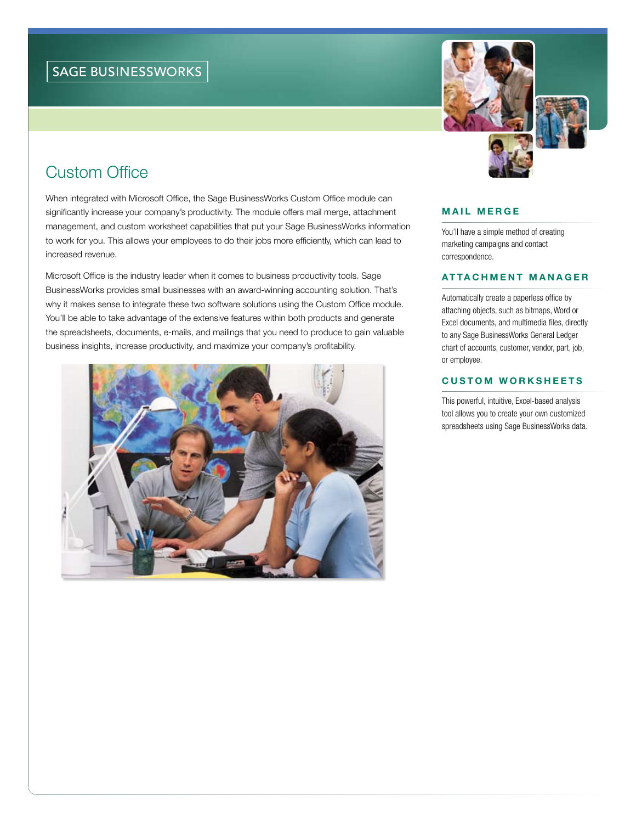# Custom Office

When integrated with Microsoft Office, the Sage BusinessWorks Custom Office module can significantly increase your company's productivity. The module offers mail merge, attachment management, and custom worksheet capabilities that put your Sage BusinessWorks information to work for you. This allows your employees to do their jobs more efficiently, which can lead to increased revenue.

Microsoft Office is the industry leader when it comes to business productivity tools. Sage BusinessWorks provides small businesses with an award-winning accounting solution. That's why it makes sense to integrate these two software solutions using the Custom Office module. You'll be able to take advantage of the extensive features within both products and generate the spreadsheets, documents, e-mails, and mailings that you need to produce to gain valuable business insights, increase productivity, and maximize your company's profitability.





### Mail Merge

You'll have a simple method of creating marketing campaigns and contact correspondence.

## Attach m ent Manager

Automatically create a paperless office by attaching objects, such as bitmaps, Word or Excel documents, and multimedia files, directly to any Sage BusinessWorks General Ledger chart of accounts, customer, vendor, part, job, or employee.

## **CUSTOM WORKSHEETS**

This powerful, intuitive, Excel-based analysis tool allows you to create your own customized spreadsheets using Sage BusinessWorks data.